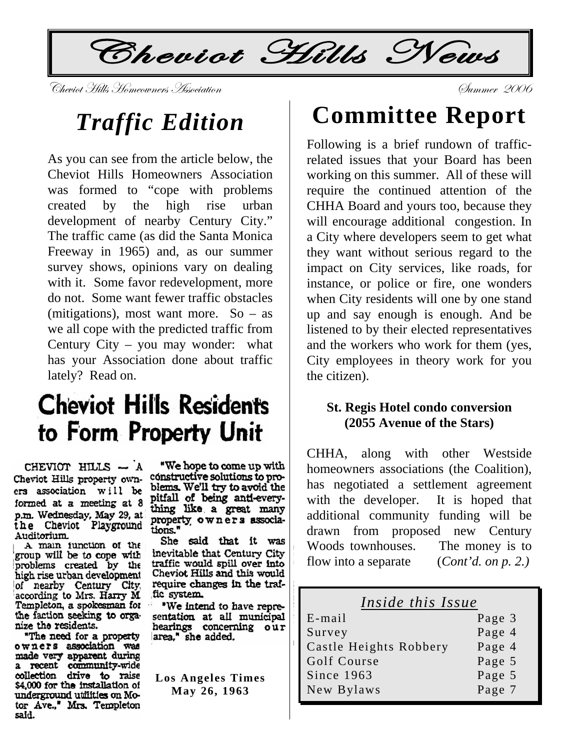Cheviot Hills News

Cheviot Hills Homeowners Association

# **Traffic Edition**

As you can see from the article below, the Cheviot Hills Homeowners Association was formed to "cope with problems high by the rise urban created development of nearby Century City." The traffic came (as did the Santa Monica) Freeway in 1965) and, as our summer survey shows, opinions vary on dealing with it. Some favor redevelopment, more do not. Some want fewer traffic obstacles (mitigations), most want more. So  $-$  as we all cope with the predicted traffic from Century City – you may wonder: what has your Association done about traffic lately? Read on.

# **Cheviot Hills Residents** to Form Property Unit

CHEVIOT HILLS - A Cheviot Hills property owners association will be formed at a meeting at 8 p.m. Wednesday, May 29, at<br>the Cheviot Playground Auditorium.

A main function of the group will be to cope with problems created by the high rise urban development of nearby Century City, according to Mrs. Harry M. Templeton, a spokesman for<br>the faction seeking to orga-s nize the residents.

"The need for a property owners association was made very apparent during<br>a recent community-wide<br>collection drive to raise \$4,000 for the installation of underground utilities on Motor Ave.," Mrs. Templeton said.

"We hope to come up with constructive solutions to problems. We'll try to avoid the pitfall of being anti-everything like a great many property owners associations."

She said that it was inevitable that Century City traffic would spill over into Cheviot Hills and this would require changes in the traific system.

"We intend to have representation at all municipal hearings concerning our area," she added.

**Los Angeles Times** May 26, 1963

# **Committee Report**

Gummer 2006

Following is a brief rundown of trafficrelated issues that your Board has been working on this summer. All of these will require the continued attention of the CHHA Board and yours too, because they will encourage additional congestion. In a City where developers seem to get what they want without serious regard to the impact on City services, like roads, for instance, or police or fire, one wonders when City residents will one by one stand up and say enough is enough. And be listened to by their elected representatives and the workers who work for them (yes. City employees in theory work for you the citizen).

#### **St. Regis Hotel condo conversion** (2055 Avenue of the Stars)

CHHA. along with other Westside homeowners associations (the Coalition), has negotiated a settlement agreement with the developer. It is hoped that additional community funding will be drawn from proposed new Century Woods townhouses. The money is to flow into a separate  $(Cont<sup>'</sup>d. on p. 2.)$ 

#### Inside this Issue

| $E$ -mail              | Page 3 |
|------------------------|--------|
| Survey                 | Page 4 |
| Castle Heights Robbery | Page 4 |
| Golf Course            | Page 5 |
| Since 1963             | Page 5 |
| New Bylaws             | Page 7 |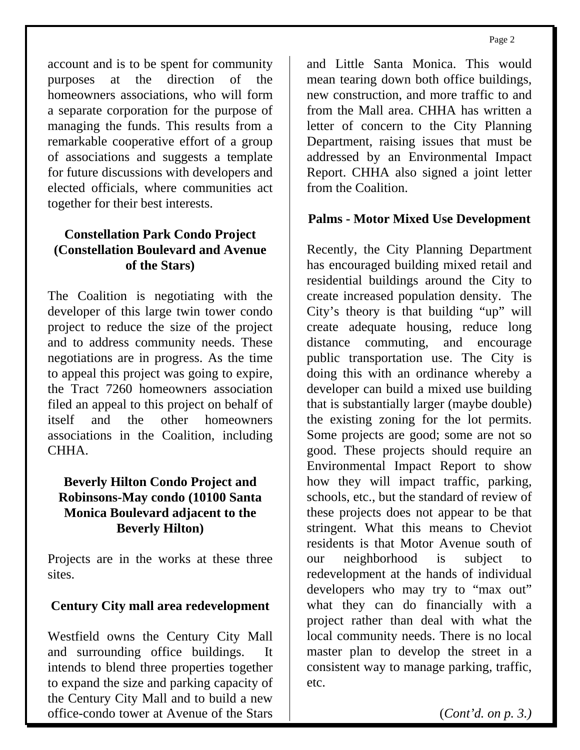account and is to be spent for community purposes at the direction of the homeowners associations, who will form a separate corporation for the purpose of managing the funds. This results from a remarkable cooperative effort of a group of associations and suggests a template for future discussions with developers and elected officials, where communities act together for their best interests.

#### **Constellation Park Condo Project (Constellation Boulevard and Avenue of the Stars)**

The Coalition is negotiating with the developer of this large twin tower condo project to reduce the size of the project and to address community needs. These negotiations are in progress. As the time to appeal this project was going to expire, the Tract 7260 homeowners association filed an appeal to this project on behalf of itself and the other homeowners associations in the Coalition, including CHHA.

#### **Beverly Hilton Condo Project and Robinsons-May condo (10100 Santa Monica Boulevard adjacent to the Beverly Hilton)**

Projects are in the works at these three sites.

#### **Century City mall area redevelopment**

Westfield owns the Century City Mall and surrounding office buildings. It intends to blend three properties together to expand the size and parking capacity of the Century City Mall and to build a new office-condo tower at Avenue of the Stars

and Little Santa Monica. This would mean tearing down both office buildings, new construction, and more traffic to and from the Mall area. CHHA has written a letter of concern to the City Planning Department, raising issues that must be addressed by an Environmental Impact Report. CHHA also signed a joint letter from the Coalition.

#### **Palms - Motor Mixed Use Development**

Recently, the City Planning Department has encouraged building mixed retail and residential buildings around the City to create increased population density. The City's theory is that building "up" will create adequate housing, reduce long distance commuting, and encourage public transportation use. The City is doing this with an ordinance whereby a developer can build a mixed use building that is substantially larger (maybe double) the existing zoning for the lot permits. Some projects are good; some are not so good. These projects should require an Environmental Impact Report to show how they will impact traffic, parking, schools, etc., but the standard of review of these projects does not appear to be that stringent. What this means to Cheviot residents is that Motor Avenue south of our neighborhood is subject to redevelopment at the hands of individual developers who may try to "max out" what they can do financially with a project rather than deal with what the local community needs. There is no local master plan to develop the street in a consistent way to manage parking, traffic, etc.

(*Cont'd. on p. 3.)*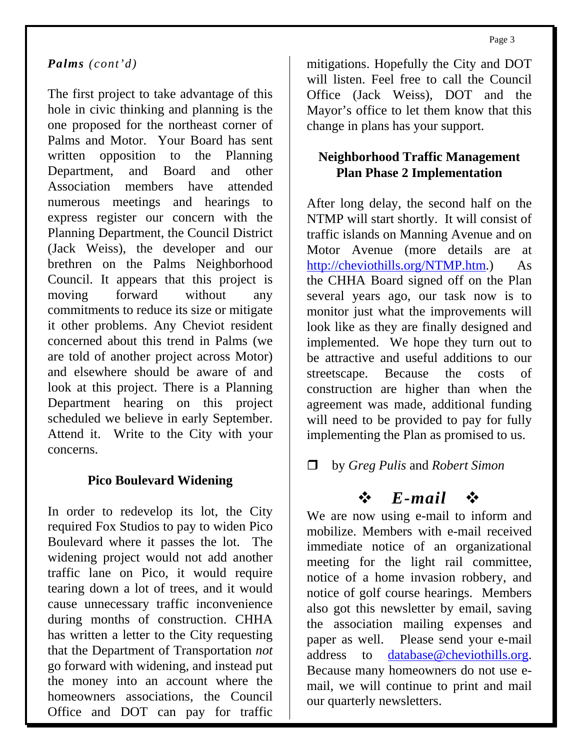#### *Palms (cont'd)*

The first project to take advantage of this hole in civic thinking and planning is the one proposed for the northeast corner of Palms and Motor. Your Board has sent written opposition to the Planning Department, and Board and other Association members have attended numerous meetings and hearings to express register our concern with the Planning Department, the Council District (Jack Weiss), the developer and our brethren on the Palms Neighborhood Council. It appears that this project is moving forward without any commitments to reduce its size or mitigate it other problems. Any Cheviot resident concerned about this trend in Palms (we are told of another project across Motor) and elsewhere should be aware of and look at this project. There is a Planning Department hearing on this project scheduled we believe in early September. Attend it. Write to the City with your concerns.

#### **Pico Boulevard Widening**

In order to redevelop its lot, the City required Fox Studios to pay to widen Pico Boulevard where it passes the lot. The widening project would not add another traffic lane on Pico, it would require tearing down a lot of trees, and it would cause unnecessary traffic inconvenience during months of construction. CHHA has written a letter to the City requesting that the Department of Transportation *not* go forward with widening, and instead put the money into an account where the homeowners associations, the Council Office and DOT can pay for traffic

mitigations. Hopefully the City and DOT will listen. Feel free to call the Council Office (Jack Weiss), DOT and the Mayor's office to let them know that this change in plans has your support.

#### **Neighborhood Traffic Management Plan Phase 2 Implementation**

After long delay, the second half on the NTMP will start shortly. It will consist of traffic islands on Manning Avenue and on Motor Avenue (more details are at <http://cheviothills.org/NTMP.htm>.) As the CHHA Board signed off on the Plan several years ago, our task now is to monitor just what the improvements will look like as they are finally designed and implemented. We hope they turn out to be attractive and useful additions to our streetscape. Because the costs of construction are higher than when the agreement was made, additional funding will need to be provided to pay for fully implementing the Plan as promised to us.

#### by *Greg Pulis* and *Robert Simon*

### $\Leftrightarrow$  *E*-mail  $\Leftrightarrow$

We are now using e-mail to inform and mobilize. Members with e-mail received immediate notice of an organizational meeting for the light rail committee, notice of a home invasion robbery, and notice of golf course hearings. Members also got this newsletter by email, saving the association mailing expenses and paper as well. Please send your e-mail address to [database@cheviothills.org](mailto:database@cheviothills.org). Because many homeowners do not use email, we will continue to print and mail our quarterly newsletters.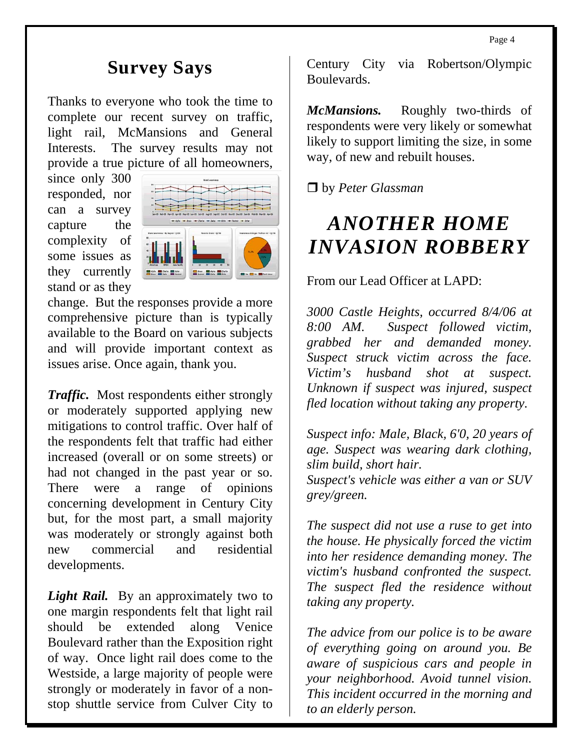## **Survey Says**

Thanks to everyone who took the time to complete our recent survey on traffic, light rail, McMansions and General Interests. The survey results may not provide a true picture of all homeowners,

since only 300 responded, nor can a survey capture the complexity of some issues as they currently stand or as they



change. But the responses provide a more comprehensive picture than is typically available to the Board on various subjects and will provide important context as issues arise. Once again, thank you.

*Traffic.* Most respondents either strongly or moderately supported applying new mitigations to control traffic. Over half of the respondents felt that traffic had either increased (overall or on some streets) or had not changed in the past year or so. There were a range of opinions concerning development in Century City but, for the most part, a small majority was moderately or strongly against both new commercial and residential developments.

*Light Rail.* By an approximately two to one margin respondents felt that light rail should be extended along Venice Boulevard rather than the Exposition right of way. Once light rail does come to the Westside, a large majority of people were strongly or moderately in favor of a nonstop shuttle service from Culver City to

Century City via Robertson/Olympic Boulevards.

*McMansions.* Roughly two-thirds of respondents were very likely or somewhat likely to support limiting the size, in some way, of new and rebuilt houses.

by *Peter Glassman* 

# *ANOTHER HOME INVASION ROBBERY*

From our Lead Officer at LAPD:

*3000 Castle Heights, occurred 8/4/06 at 8:00 AM. Suspect followed victim, grabbed her and demanded money. Suspect struck victim across the face. Victim's husband shot at suspect. Unknown if suspect was injured, suspect fled location without taking any property.* 

*Suspect info: Male, Black, 6'0, 20 years of age. Suspect was wearing dark clothing, slim build, short hair. Suspect's vehicle was either a van or SUV grey/green.* 

*The suspect did not use a ruse to get into the house. He physically forced the victim into her residence demanding money. The victim's husband confronted the suspect. The suspect fled the residence without taking any property.* 

*The advice from our police is to be aware of everything going on around you. Be aware of suspicious cars and people in your neighborhood. Avoid tunnel vision. This incident occurred in the morning and to an elderly person.*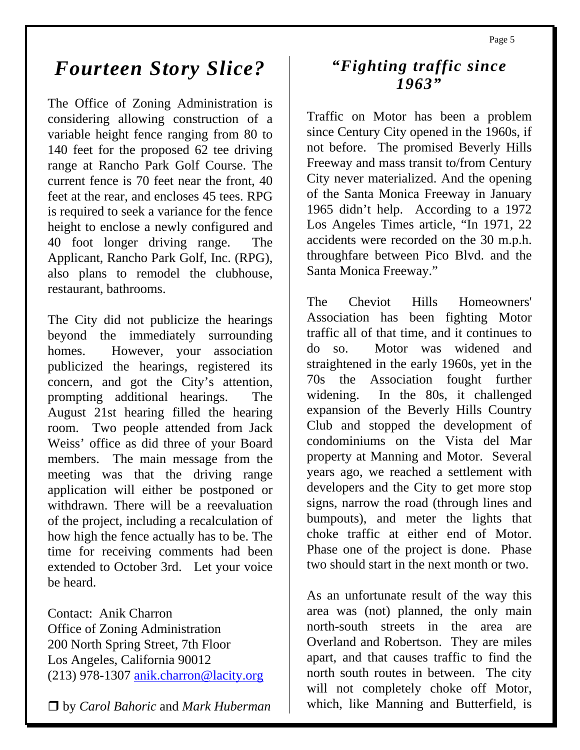## *Fourteen Story Slice?*

The Office of Zoning Administration is considering allowing construction of a variable height fence ranging from 80 to 140 feet for the proposed 62 tee driving range at Rancho Park Golf Course. The current fence is 70 feet near the front, 40 feet at the rear, and encloses 45 tees. RPG is required to seek a variance for the fence height to enclose a newly configured and 40 foot longer driving range. The Applicant, Rancho Park Golf, Inc. (RPG), also plans to remodel the clubhouse, restaurant, bathrooms.

The City did not publicize the hearings beyond the immediately surrounding homes. However, your association publicized the hearings, registered its concern, and got the City's attention, prompting additional hearings. The August 21st hearing filled the hearing room. Two people attended from Jack Weiss' office as did three of your Board members. The main message from the meeting was that the driving range application will either be postponed or withdrawn. There will be a reevaluation of the project, including a recalculation of how high the fence actually has to be. The time for receiving comments had been extended to October 3rd. Let your voice be heard.

Contact: Anik Charron Office of Zoning Administration 200 North Spring Street, 7th Floor Los Angeles, California 90012 (213) 978-1307 [anik.charron@lacity.org](mailto:anik.charron@lacity.org)

by *Carol Bahoric* and *Mark Huberman* 

## *"Fighting traffic since 1963"*

Traffic on Motor has been a problem since Century City opened in the 1960s, if not before. The promised Beverly Hills Freeway and mass transit to/from Century City never materialized. And the opening of the Santa Monica Freeway in January 1965 didn't help. According to a 1972 Los Angeles Times article, "In 1971, 22 accidents were recorded on the 30 m.p.h. throughfare between Pico Blvd. and the Santa Monica Freeway."

The Cheviot Hills Homeowners' Association has been fighting Motor traffic all of that time, and it continues to do so. Motor was widened and straightened in the early 1960s, yet in the 70s the Association fought further widening. In the 80s, it challenged expansion of the Beverly Hills Country Club and stopped the development of condominiums on the Vista del Mar property at Manning and Motor. Several years ago, we reached a settlement with developers and the City to get more stop signs, narrow the road (through lines and bumpouts), and meter the lights that choke traffic at either end of Motor. Phase one of the project is done. Phase two should start in the next month or two.

As an unfortunate result of the way this area was (not) planned, the only main north-south streets in the area are Overland and Robertson. They are miles apart, and that causes traffic to find the north south routes in between. The city will not completely choke off Motor, which, like Manning and Butterfield, is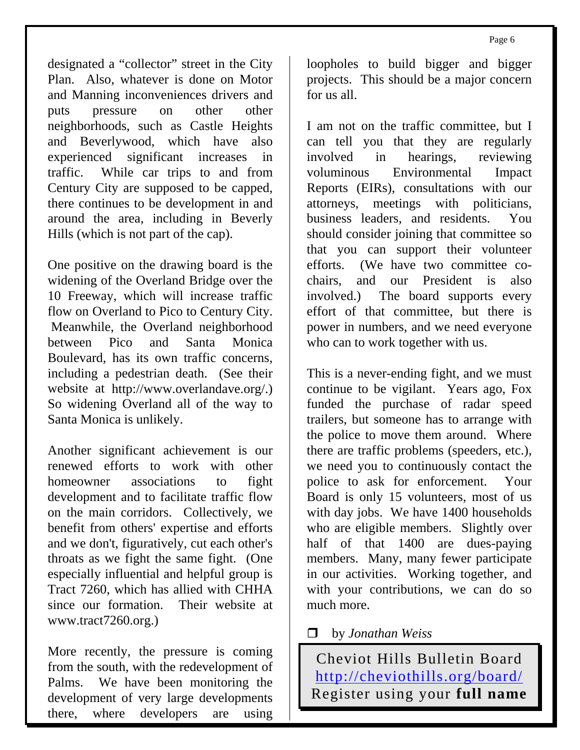designated a "collector" street in the City Plan. Also, whatever is done on Motor and Manning inconveniences drivers and puts pressure on other other neighborhoods, such as Castle Heights and Beverlywood, which have also experienced significant increases in traffic. While car trips to and from Century City are supposed to be capped, there continues to be development in and around the area, including in Beverly Hills (which is not part of the cap).

One positive on the drawing board is the widening of the Overland Bridge over the 10 Freeway, which will increase traffic flow on Overland to Pico to Century City. Meanwhile, the Overland neighborhood between Pico and Santa Monica Boulevard, has its own traffic concerns, including a pedestrian death. (See their website at [http://www.overlandave.org/.](http://www.overlandave.org/)) So widening Overland all of the way to Santa Monica is unlikely.

Another significant achievement is our renewed efforts to work with other homeowner associations to fight development and to facilitate traffic flow on the main corridors. Collectively, we benefit from others' expertise and efforts and we don't, figuratively, cut each other's throats as we fight the same fight. (One especially influential and helpful group is Tract 7260, which has allied with CHHA since our formation. Their website at <www.tract7260.org>.)

More recently, the pressure is coming from the south, with the redevelopment of Palms. We have been monitoring the development of very large developments there, where developers are using

loopholes to build bigger and bigger projects. This should be a major concern for us all.

I am not on the traffic committee, but I can tell you that they are regularly involved in hearings, reviewing voluminous Environmental Impact Reports (EIRs), consultations with our attorneys, meetings with politicians, business leaders, and residents. You should consider joining that committee so that you can support their volunteer efforts. (We have two committee cochairs, and our President is also involved.) The board supports every effort of that committee, but there is power in numbers, and we need everyone who can to work together with us.

This is a never-ending fight, and we must continue to be vigilant. Years ago, Fox funded the purchase of radar speed trailers, but someone has to arrange with the police to move them around. Where there are traffic problems (speeders, etc.), we need you to continuously contact the police to ask for enforcement. Your Board is only 15 volunteers, most of us with day jobs. We have 1400 households who are eligible members. Slightly over half of that 1400 are dues-paying members. Many, many fewer participate in our activities. Working together, and with your contributions, we can do so much more.

by *Jonathan Weiss*

Cheviot Hills Bulletin Board <http://cheviothills.org/board/> Register using your **full name**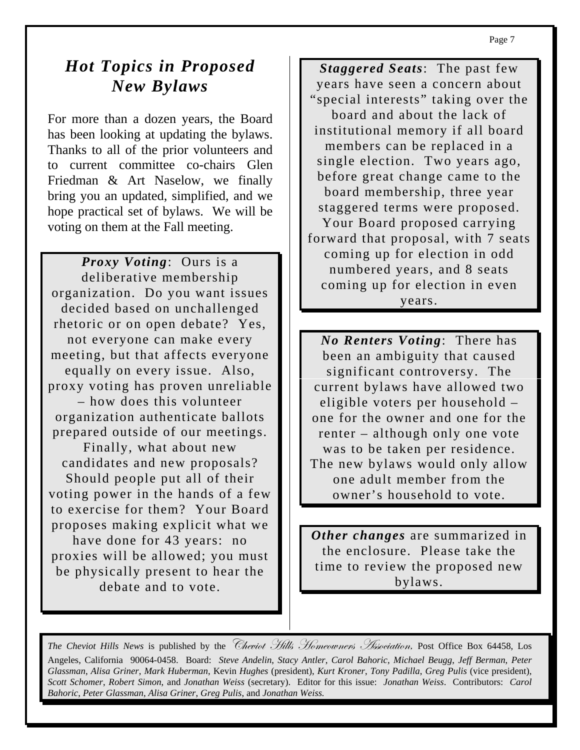## **Hot Topics in Proposed** New Bylaws

For more than a dozen years, the Board has been looking at updating the bylaws. Thanks to all of the prior volunteers and to current committee co-chairs Glen Friedman & Art Naselow, we finally bring you an updated, simplified, and we hope practical set of bylaws. We will be voting on them at the Fall meeting.

*Proxy Voting:* Ours is a deliberative membership organization. Do you want issues decided based on unchallenged rhetoric or on open debate? Yes, not everyone can make every meeting, but that affects everyone equally on every issue. Also, proxy voting has proven unreliable - how does this volunteer organization authenticate ballots prepared outside of our meetings. Finally, what about new candidates and new proposals? Should people put all of their voting power in the hands of a few to exercise for them? Your Board proposes making explicit what we have done for 43 years: no proxies will be allowed; you must be physically present to hear the debate and to vote.

Staggered Seats: The past few years have seen a concern about "special interests" taking over the board and about the lack of institutional memory if all board members can be replaced in a single election. Two years ago, before great change came to the board membership, three year staggered terms were proposed. Your Board proposed carrying forward that proposal, with 7 seats coming up for election in odd numbered years, and 8 seats coming up for election in even years.

*No Renters Voting:* There has been an ambiguity that caused significant controversy. The current bylaws have allowed two eligible voters per household – one for the owner and one for the renter – although only one vote was to be taken per residence. The new bylaws would only allow one adult member from the owner's household to vote.

Other changes are summarized in the enclosure. Please take the time to review the proposed new bylaws.

The Cheviot Hills News is published by the Cheviot Hills Homeowners Association, Post Office Box 64458, Los Angeles, California 90064-0458. Board: Steve Andelin, Stacy Antler, Carol Bahoric, Michael Beugg, Jeff Berman, Peter Glassman, Alisa Griner, Mark Huberman, Kevin Hughes (president), Kurt Kroner, Tony Padilla, Greg Pulis (vice president), Scott Schomer, Robert Simon, and Jonathan Weiss (secretary). Editor for this issue: Jonathan Weiss. Contributors: Carol Bahoric, Peter Glassman, Alisa Griner, Greg Pulis, and Jonathan Weiss.